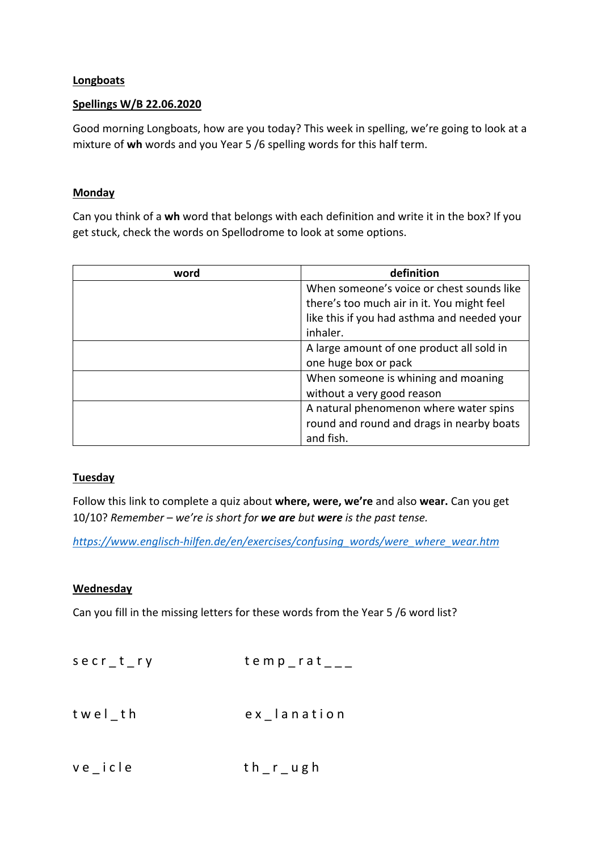## **Longboats**

## Spellings W/B 22.06.2020

Good morning Longboats, how are you today? This week in spelling, we're going to look at a mixture of wh words and you Year 5 /6 spelling words for this half term.

## **Monday**

Can you think of a wh word that belongs with each definition and write it in the box? If you get stuck, check the words on Spellodrome to look at some options.

| word | definition                                  |
|------|---------------------------------------------|
|      | When someone's voice or chest sounds like   |
|      | there's too much air in it. You might feel  |
|      | like this if you had asthma and needed your |
|      | inhaler.                                    |
|      | A large amount of one product all sold in   |
|      | one huge box or pack                        |
|      | When someone is whining and moaning         |
|      | without a very good reason                  |
|      | A natural phenomenon where water spins      |
|      | round and round and drags in nearby boats   |
|      | and fish.                                   |

# **Tuesday**

Follow this link to complete a quiz about where, were, we're and also wear. Can you get 10/10? *Remember – we're is short for we are but were is the past tense.* 

*https://www.englisch-hilfen.de/en/exercises/confusing\_words/were\_where\_wear.htm*

#### **Wednesday**

Can you fill in the missing letters for these words from the Year 5 /6 word list?

| $serr_t, ryr$ | $temp\_rat$ <sub>___</sub> |
|---------------|----------------------------|
| twel th       | ex lanation                |
| $ve$ icle     | $th$ $r$ $_$ $u$ $g$ $h$   |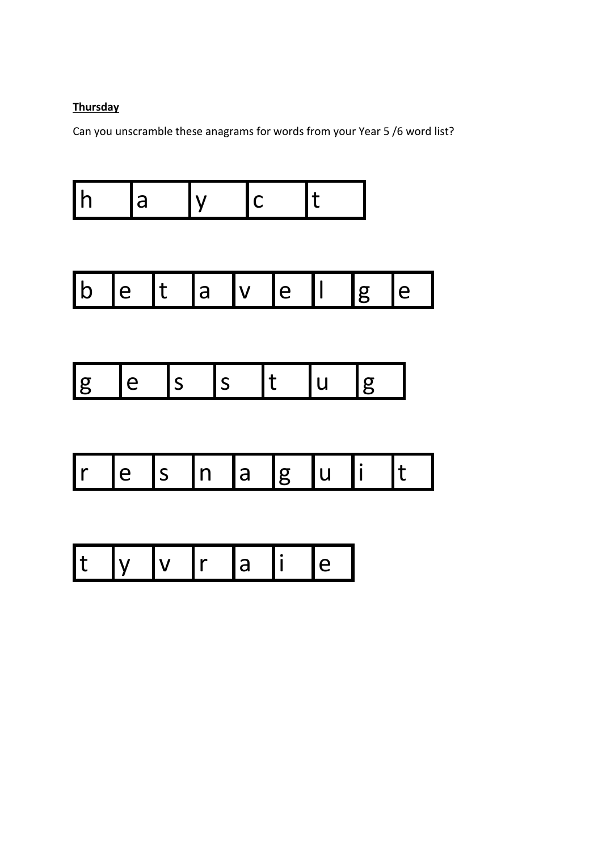# **Thursday**

Can you unscramble these anagrams for words from your Year 5 /6 word list?







|--|--|